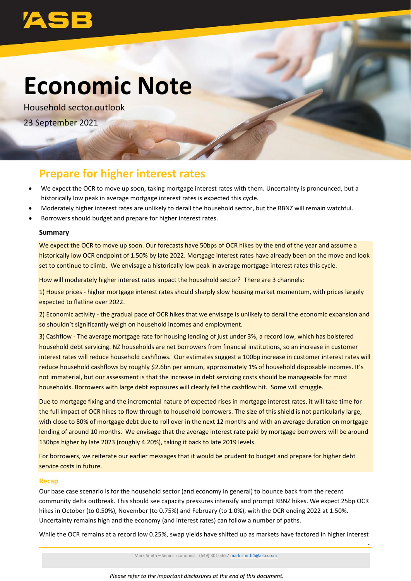

## **Economic Note**

Household sector outlook 23 September 2021

### **Prepare for higher interest rates**

- We expect the OCR to move up soon, taking mortgage interest rates with them. Uncertainty is pronounced, but a historically low peak in average mortgage interest rates is expected this cycle.
- Moderately higher interest rates are unlikely to derail the household sector, but the RBNZ will remain watchful.
- Borrowers should budget and prepare for higher interest rates.

#### **Summary**

We expect the OCR to move up soon. Our forecasts have 50bps of OCR hikes by the end of the year and assume a historically low OCR endpoint of 1.50% by late 2022. Mortgage interest rates have already been on the move and look set to continue to climb. We envisage a historically low peak in average mortgage interest rates this cycle.

How will moderately higher interest rates impact the household sector? There are 3 channels:

1) House prices - higher mortgage interest rates should sharply slow housing market momentum, with prices largely expected to flatline over 2022.

2) Economic activity - the gradual pace of OCR hikes that we envisage is unlikely to derail the economic expansion and so shouldn't significantly weigh on household incomes and employment.

3) Cashflow - The average mortgage rate for housing lending of just under 3%, a record low, which has bolstered household debt servicing. NZ households are net borrowers from financial institutions, so an increase in customer interest rates will reduce household cashflows. Our estimates suggest a 100bp increase in customer interest rates will reduce household cashflows by roughly \$2.6bn per annum, approximately 1% of household disposable incomes. It's not immaterial, but our assessment is that the increase in debt servicing costs should be manageable for most households. Borrowers with large debt exposures will clearly fell the cashflow hit. Some will struggle.

Due to mortgage fixing and the incremental nature of expected rises in mortgage interest rates, it will take time for the full impact of OCR hikes to flow through to household borrowers. The size of this shield is not particularly large, with close to 80% of mortgage debt due to roll over in the next 12 months and with an average duration on mortgage lending of around 10 months. We envisage that the average interest rate paid by mortgage borrowers will be around 130bps higher by late 2023 (roughly 4.20%), taking it back to late 2019 levels.

For borrowers, we reiterate our earlier messages that it would be prudent to budget and prepare for higher debt service costs in future.

#### **Recap**

Our base case scenario is for the household sector (and economy in general) to bounce back from the recent community delta outbreak. This should see capacity pressures intensify and prompt RBNZ hikes. We expect 25bp OCR hikes in October (to 0.50%), November (to 0.75%) and February (to 1.0%), with the OCR ending 2022 at 1.50%. Uncertainty remains high and the economy (and interest rates) can follow a number of paths.

While the OCR remains at a record low 0.25%, swap yields have shifted up as markets have factored in higher interest

Mark Smith – Senior Economist (649) 301-5657 [mark.smith4@asb.co.nz](mailto:mark.smith4@asb.co.nz)

**`**

*Please refer to the important disclosures at the end of this document.*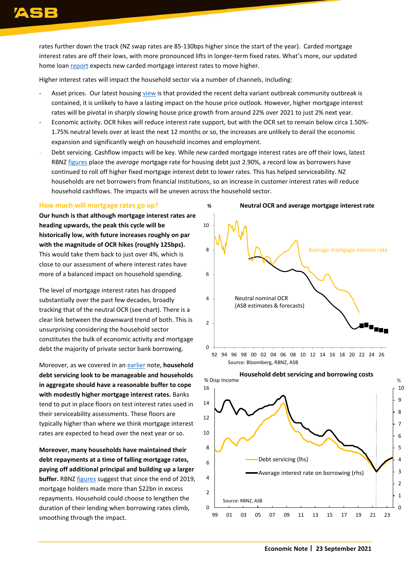rates further down the track (NZ swap rates are 85-130bps higher since the start of the year). Carded mortgage interest rates are off their lows, with more pronounced lifts in longer-term fixed rates. What's more, our updated home loan [report](https://www.asb.co.nz/content/dam/asb/documents/reports/home-loan-rate-report/home-loan-rate-report-sept-2021.pdf) expects new carded mortgage interest rates to move higher.

Higher interest rates will impact the household sector via a number of channels, including:

- Asset prices. Our latest housing [view](https://www.asb.co.nz/content/dam/asb/documents/reports/home-economics/home-economics-august%202021.pdf) is that provided the recent delta variant outbreak community outbreak is contained, it is unlikely to have a lasting impact on the house price outlook. However, higher mortgage interest rates will be pivotal in sharply slowing house price growth from around 22% over 2021 to just 2% next year.
- Economic activity. OCR hikes will reduce interest rate support, but with the OCR set to remain below circa 1.50%- 1.75% neutral levels over at least the next 12 months or so, the increases are unlikely to derail the economic expansion and significantly weigh on household incomes and employment.
- Debt servicing. Cashflow impacts will be key. While *new* carded mortgage interest rates are off their lows, latest RBNZ [figures](https://www.rbnz.govt.nz/statistics/b6-yields-on-loans) place the *average* mortgage rate for housing debt just 2.90%, a record low as borrowers have continued to roll off higher fixed mortgage interest debt to lower rates. This has helped serviceability. NZ households are net borrowers from financial institutions, so an increase in customer interest rates will reduce household cashflows. The impacts will be uneven across the household sector.

#### **How much will mortgage rates go up?**

**Our hunch is that although mortgage interest rates are heading upwards, the peak this cycle will be historically low, with future increases roughly on par with the magnitude of OCR hikes (roughly 125bps).** This would take them back to just over 4%, which is close to our assessment of where interest rates have more of a balanced impact on household spending.

The level of mortgage interest rates has dropped substantially over the past few decades, broadly tracking that of the neutral OCR (see chart). There is a clear link between the downward trend of both. This is unsurprising considering the household sector constitutes the bulk of economic activity and mortgage debt the majority of private sector bank borrowing.

Moreover, as we covered in a[n earlier](https://www.asb.co.nz/content/dam/asb/documents/reports/economic-note/Housing_mortgage%20rates.pdf) note, **household debt servicing look to be manageable and households in aggregate should have a reasonable buffer to cope with modestly higher mortgage interest rates.** Banks tend to put in place floors on test interest rates used in their serviceability assessments. These floors are typically higher than where we think mortgage interest rates are expected to head over the next year or so.

**Moreover, many households have maintained their debt repayments at a time of falling mortgage rates, paying off additional principal and building up a larger buffer.** RBN[Z figures](https://www.rbnz.govt.nz/statistics/c35) suggest that since the end of 2019, mortgage holders made more than \$22bn in excess repayments. Household could choose to lengthen the duration of their lending when borrowing rates climb, smoothing through the impact.



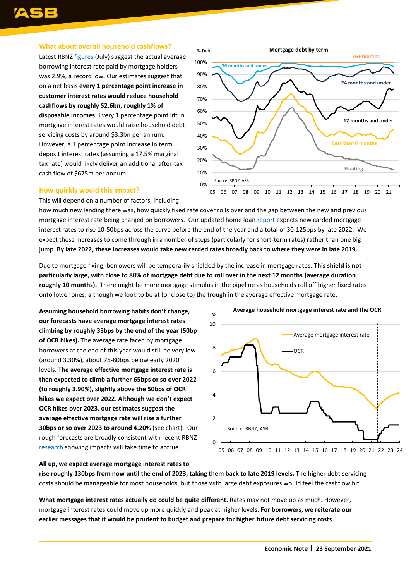#### **What about overall household cashflows?**

Latest RBNZ [figures](https://www.rbnz.govt.nz/statistics/b6-yields-on-loans) (July) suggest the actual average borrowing interest rate paid by mortgage holders was 2.9%, a record low. Our estimates suggest that on a net basis **every 1 percentage point increase in customer interest rates would reduce household cashflows by roughly \$2.6bn, roughly 1% of disposable incomes.** Every 1 percentage point lift in mortgage interest rates would raise household debt servicing costs by around \$3.3bn per annum. However, a 1 percentage point increase in term deposit interest rates (assuming a 17.5% marginal tax rate) would likely deliver an additional after-tax cash flow of \$675m per annum.



#### **How quickly would this impact**?

This will depend on a number of factors, including

how much new lending there was, how quickly fixed rate cover rolls over and the gap between the new and previous mortgage interest rate being charged on borrowers. Our updated home loa[n report](https://www.asb.co.nz/content/dam/asb/documents/reports/home-loan-rate-report/home-loan-rate-report-sept-2021.pdf) expects new carded mortgage interest rates to rise 10-50bps across the curve before the end of the year and a total of 30-125bps by late 2022. We expect these increases to come through in a number of steps (particularly for short-term rates) rather than one big jump. **By late 2022, these increases would take new carded rates broadly back to where they were in late 2019.**

Due to mortgage fixing, borrowers will be temporarily shielded by the increase in mortgage rates. **This shield is not particularly large, with close to 80% of mortgage debt due to roll over in the next 12 months (average duration roughly 10 months).** There might be more mortgage stimulus in the pipeline as households roll off higher fixed rates onto lower ones, although we look to be at (or close to) the trough in the average effective mortgage rate.

**Assuming household borrowing habits don't change, our forecasts have average mortgage interest rates climbing by roughly 35bps by the end of the year (50bp of OCR hikes).** The average rate faced by mortgage borrowers at the end of this year would still be very low (around 3.30%), about 75-80bps below early 2020 levels. **The average effective mortgage interest rate is then expected to climb a further 65bps or so over 2022 (to roughly 3.90%), slightly above the 50bps of OCR hikes we expect over 2022**. **Although we don't expect OCR hikes over 2023, our estimates suggest the average effective mortgage rate will rise a further 30bps or so over 2023 to around 4.20%** (see chart). Our rough forecasts are broadly consistent with recent RBNZ [research](https://www.rbnz.govt.nz/news/2021/08/mortgage-rates-move-with-official-interest-rates-but-it-takes-time) showing impacts will take time to accrue.



**All up, we expect average mortgage interest rates to rise roughly 130bps from now until the end of 2023, taking them back to late 2019 levels.** The higher debt servicing costs should be manageable for most households, but those with large debt exposures would feel the cashflow hit.

**What mortgage interest rates actually do could be quite different.** Rates may not move up as much. However, mortgage interest rates could move up more quickly and peak at higher levels. **For borrowers, we reiterate our earlier messages that it would be prudent to budget and prepare for higher future debt servicing costs**.